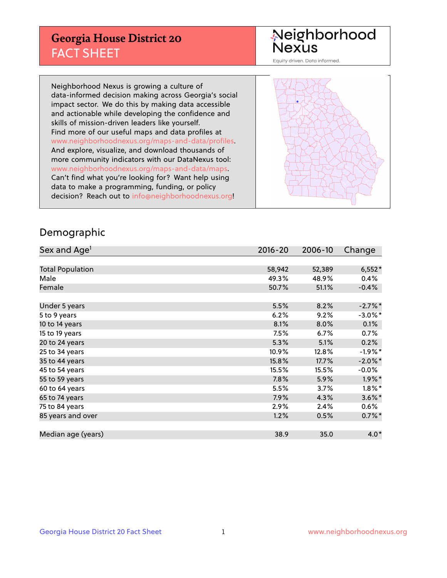## **Georgia House District 20** FACT SHEET

# Neighborhood<br>Nexus

Equity driven. Data informed.

Neighborhood Nexus is growing a culture of data-informed decision making across Georgia's social impact sector. We do this by making data accessible and actionable while developing the confidence and skills of mission-driven leaders like yourself. Find more of our useful maps and data profiles at www.neighborhoodnexus.org/maps-and-data/profiles. And explore, visualize, and download thousands of more community indicators with our DataNexus tool: www.neighborhoodnexus.org/maps-and-data/maps. Can't find what you're looking for? Want help using data to make a programming, funding, or policy decision? Reach out to [info@neighborhoodnexus.org!](mailto:info@neighborhoodnexus.org)



### Demographic

| Sex and Age <sup>1</sup> | $2016 - 20$ | 2006-10 | Change     |
|--------------------------|-------------|---------|------------|
|                          |             |         |            |
| <b>Total Population</b>  | 58,942      | 52,389  | $6,552*$   |
| Male                     | 49.3%       | 48.9%   | 0.4%       |
| Female                   | 50.7%       | 51.1%   | $-0.4%$    |
|                          |             |         |            |
| Under 5 years            | 5.5%        | 8.2%    | $-2.7%$ *  |
| 5 to 9 years             | 6.2%        | 9.2%    | $-3.0\%$ * |
| 10 to 14 years           | 8.1%        | 8.0%    | 0.1%       |
| 15 to 19 years           | 7.5%        | 6.7%    | 0.7%       |
| 20 to 24 years           | 5.3%        | 5.1%    | 0.2%       |
| 25 to 34 years           | 10.9%       | 12.8%   | $-1.9\%$ * |
| 35 to 44 years           | 15.8%       | 17.7%   | $-2.0\%$ * |
| 45 to 54 years           | 15.5%       | 15.5%   | $-0.0%$    |
| 55 to 59 years           | 7.8%        | 5.9%    | $1.9\%$ *  |
| 60 to 64 years           | 5.5%        | 3.7%    | $1.8\%$ *  |
| 65 to 74 years           | 7.9%        | 4.3%    | $3.6\%$ *  |
| 75 to 84 years           | 2.9%        | 2.4%    | $0.6\%$    |
| 85 years and over        | 1.2%        | 0.5%    | $0.7\%$ *  |
|                          |             |         |            |
| Median age (years)       | 38.9        | 35.0    | $4.0*$     |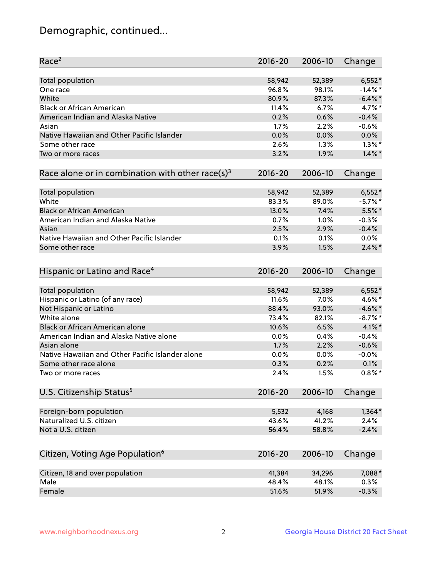## Demographic, continued...

| Race <sup>2</sup>                                            | $2016 - 20$ | 2006-10 | Change     |
|--------------------------------------------------------------|-------------|---------|------------|
| Total population                                             | 58,942      | 52,389  | $6,552*$   |
| One race                                                     | 96.8%       | 98.1%   | $-1.4\%$ * |
| White                                                        | 80.9%       | 87.3%   | $-6.4\%$ * |
| <b>Black or African American</b>                             | 11.4%       | 6.7%    | 4.7%*      |
| American Indian and Alaska Native                            | 0.2%        | 0.6%    | $-0.4%$    |
| Asian                                                        | 1.7%        | 2.2%    | $-0.6%$    |
| Native Hawaiian and Other Pacific Islander                   | 0.0%        | 0.0%    | 0.0%       |
| Some other race                                              | 2.6%        | 1.3%    | $1.3\%$ *  |
| Two or more races                                            | 3.2%        | 1.9%    | $1.4\%$ *  |
| Race alone or in combination with other race(s) <sup>3</sup> | $2016 - 20$ | 2006-10 | Change     |
| Total population                                             | 58,942      | 52,389  | $6,552*$   |
| White                                                        | 83.3%       | 89.0%   | $-5.7%$ *  |
| <b>Black or African American</b>                             | 13.0%       | 7.4%    | 5.5%*      |
| American Indian and Alaska Native                            | 0.7%        | 1.0%    | $-0.3%$    |
| Asian                                                        | 2.5%        | 2.9%    | $-0.4%$    |
| Native Hawaiian and Other Pacific Islander                   | 0.1%        | 0.1%    | $0.0\%$    |
| Some other race                                              | 3.9%        | 1.5%    | $2.4\%$ *  |
|                                                              |             |         |            |
| Hispanic or Latino and Race <sup>4</sup>                     | $2016 - 20$ | 2006-10 | Change     |
| Total population                                             | 58,942      | 52,389  | $6,552*$   |
| Hispanic or Latino (of any race)                             | 11.6%       | 7.0%    | 4.6%*      |
| Not Hispanic or Latino                                       | 88.4%       | 93.0%   | $-4.6\%$ * |
| White alone                                                  | 73.4%       | 82.1%   | $-8.7\%$ * |
| Black or African American alone                              | 10.6%       | 6.5%    | 4.1%*      |
| American Indian and Alaska Native alone                      | 0.0%        | 0.4%    | $-0.4%$    |
| Asian alone                                                  | 1.7%        | 2.2%    | $-0.6%$    |
| Native Hawaiian and Other Pacific Islander alone             | 0.0%        | 0.0%    | $-0.0%$    |
| Some other race alone                                        | 0.3%        | 0.2%    | 0.1%       |
| Two or more races                                            | 2.4%        | 1.5%    | $0.8\%$ *  |
| U.S. Citizenship Status <sup>5</sup>                         | $2016 - 20$ | 2006-10 | Change     |
|                                                              |             |         |            |
| Foreign-born population                                      | 5,532       | 4,168   | $1,364*$   |
| Naturalized U.S. citizen                                     | 43.6%       | 41.2%   | 2.4%       |
| Not a U.S. citizen                                           | 56.4%       | 58.8%   | $-2.4%$    |
| Citizen, Voting Age Population <sup>6</sup>                  | 2016-20     | 2006-10 | Change     |
| Citizen, 18 and over population                              | 41,384      | 34,296  | 7,088*     |
| Male                                                         | 48.4%       | 48.1%   | 0.3%       |
| Female                                                       | 51.6%       | 51.9%   | $-0.3%$    |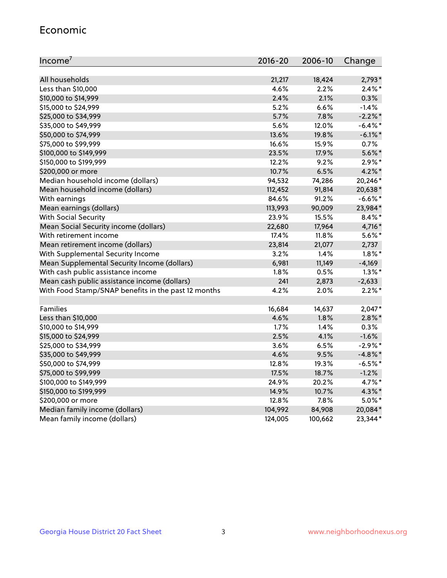#### Economic

| Income <sup>7</sup>                                 | $2016 - 20$ | 2006-10 | Change     |
|-----------------------------------------------------|-------------|---------|------------|
|                                                     |             |         |            |
| All households                                      | 21,217      | 18,424  | $2,793*$   |
| Less than \$10,000                                  | 4.6%        | 2.2%    | $2.4\%$ *  |
| \$10,000 to \$14,999                                | 2.4%        | 2.1%    | 0.3%       |
| \$15,000 to \$24,999                                | 5.2%        | 6.6%    | $-1.4%$    |
| \$25,000 to \$34,999                                | 5.7%        | 7.8%    | $-2.2%$ *  |
| \$35,000 to \$49,999                                | 5.6%        | 12.0%   | $-6.4\%$ * |
| \$50,000 to \$74,999                                | 13.6%       | 19.8%   | $-6.1\%$ * |
| \$75,000 to \$99,999                                | 16.6%       | 15.9%   | 0.7%       |
| \$100,000 to \$149,999                              | 23.5%       | 17.9%   | $5.6\%$ *  |
| \$150,000 to \$199,999                              | 12.2%       | 9.2%    | $2.9\%*$   |
| \$200,000 or more                                   | 10.7%       | 6.5%    | $4.2\%$ *  |
| Median household income (dollars)                   | 94,532      | 74,286  | 20,246*    |
| Mean household income (dollars)                     | 112,452     | 91,814  | 20,638*    |
| With earnings                                       | 84.6%       | 91.2%   | $-6.6%$ *  |
| Mean earnings (dollars)                             | 113,993     | 90,009  | 23,984*    |
| <b>With Social Security</b>                         | 23.9%       | 15.5%   | $8.4\%$ *  |
| Mean Social Security income (dollars)               | 22,680      | 17,964  | 4,716*     |
| With retirement income                              | 17.4%       | 11.8%   | $5.6\%$ *  |
| Mean retirement income (dollars)                    | 23,814      | 21,077  | 2,737      |
| With Supplemental Security Income                   | $3.2\%$     | 1.4%    | $1.8\%$ *  |
| Mean Supplemental Security Income (dollars)         | 6,981       | 11,149  | $-4,169$   |
| With cash public assistance income                  | 1.8%        | 0.5%    | $1.3\%$ *  |
| Mean cash public assistance income (dollars)        | 241         | 2,873   | $-2,633$   |
| With Food Stamp/SNAP benefits in the past 12 months | 4.2%        | 2.0%    | $2.2\%$ *  |
|                                                     |             |         |            |
| Families                                            | 16,684      | 14,637  | $2,047*$   |
| Less than \$10,000                                  | 4.6%        | 1.8%    | $2.8\%$ *  |
| \$10,000 to \$14,999                                | 1.7%        | 1.4%    | 0.3%       |
| \$15,000 to \$24,999                                | 2.5%        | 4.1%    | $-1.6%$    |
| \$25,000 to \$34,999                                | 3.6%        | 6.5%    | $-2.9\%$ * |
| \$35,000 to \$49,999                                | 4.6%        | 9.5%    | $-4.8\%$ * |
| \$50,000 to \$74,999                                | 12.8%       | 19.3%   | $-6.5%$ *  |
| \$75,000 to \$99,999                                | 17.5%       | 18.7%   | $-1.2%$    |
| \$100,000 to \$149,999                              | 24.9%       | 20.2%   | 4.7%*      |
| \$150,000 to \$199,999                              | 14.9%       | 10.7%   | 4.3%*      |
| \$200,000 or more                                   | 12.8%       | 7.8%    | $5.0\%$ *  |
| Median family income (dollars)                      | 104,992     | 84,908  | 20,084*    |
| Mean family income (dollars)                        | 124,005     | 100,662 | 23,344*    |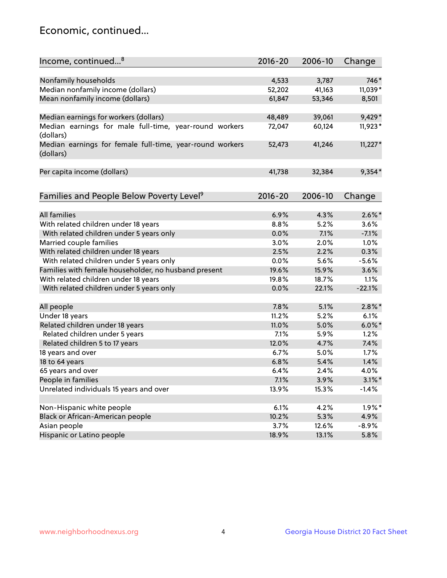## Economic, continued...

| Nonfamily households<br>746*<br>4,533<br>3,787<br>Median nonfamily income (dollars)<br>11,039*<br>52,202<br>41,163<br>Mean nonfamily income (dollars)<br>61,847<br>53,346<br>8,501<br>9,429*<br>Median earnings for workers (dollars)<br>48,489<br>39,061<br>Median earnings for male full-time, year-round workers<br>11,923*<br>72,047<br>60,124<br>(dollars)<br>$11,227*$<br>Median earnings for female full-time, year-round workers<br>41,246<br>52,473<br>(dollars)<br>$9,354*$<br>Per capita income (dollars)<br>41,738<br>32,384<br>Families and People Below Poverty Level <sup>9</sup><br>$2016 - 20$<br>2006-10<br>Change<br><b>All families</b><br>$2.6\%$ *<br>6.9%<br>4.3%<br>With related children under 18 years<br>8.8%<br>5.2%<br>3.6%<br>With related children under 5 years only<br>0.0%<br>7.1%<br>$-7.1%$<br>Married couple families<br>3.0%<br>1.0%<br>2.0%<br>With related children under 18 years<br>2.5%<br>2.2%<br>0.3%<br>With related children under 5 years only<br>0.0%<br>5.6%<br>$-5.6%$ |
|---------------------------------------------------------------------------------------------------------------------------------------------------------------------------------------------------------------------------------------------------------------------------------------------------------------------------------------------------------------------------------------------------------------------------------------------------------------------------------------------------------------------------------------------------------------------------------------------------------------------------------------------------------------------------------------------------------------------------------------------------------------------------------------------------------------------------------------------------------------------------------------------------------------------------------------------------------------------------------------------------------------------------|
|                                                                                                                                                                                                                                                                                                                                                                                                                                                                                                                                                                                                                                                                                                                                                                                                                                                                                                                                                                                                                           |
|                                                                                                                                                                                                                                                                                                                                                                                                                                                                                                                                                                                                                                                                                                                                                                                                                                                                                                                                                                                                                           |
|                                                                                                                                                                                                                                                                                                                                                                                                                                                                                                                                                                                                                                                                                                                                                                                                                                                                                                                                                                                                                           |
|                                                                                                                                                                                                                                                                                                                                                                                                                                                                                                                                                                                                                                                                                                                                                                                                                                                                                                                                                                                                                           |
|                                                                                                                                                                                                                                                                                                                                                                                                                                                                                                                                                                                                                                                                                                                                                                                                                                                                                                                                                                                                                           |
|                                                                                                                                                                                                                                                                                                                                                                                                                                                                                                                                                                                                                                                                                                                                                                                                                                                                                                                                                                                                                           |
|                                                                                                                                                                                                                                                                                                                                                                                                                                                                                                                                                                                                                                                                                                                                                                                                                                                                                                                                                                                                                           |
|                                                                                                                                                                                                                                                                                                                                                                                                                                                                                                                                                                                                                                                                                                                                                                                                                                                                                                                                                                                                                           |
|                                                                                                                                                                                                                                                                                                                                                                                                                                                                                                                                                                                                                                                                                                                                                                                                                                                                                                                                                                                                                           |
|                                                                                                                                                                                                                                                                                                                                                                                                                                                                                                                                                                                                                                                                                                                                                                                                                                                                                                                                                                                                                           |
|                                                                                                                                                                                                                                                                                                                                                                                                                                                                                                                                                                                                                                                                                                                                                                                                                                                                                                                                                                                                                           |
|                                                                                                                                                                                                                                                                                                                                                                                                                                                                                                                                                                                                                                                                                                                                                                                                                                                                                                                                                                                                                           |
|                                                                                                                                                                                                                                                                                                                                                                                                                                                                                                                                                                                                                                                                                                                                                                                                                                                                                                                                                                                                                           |
|                                                                                                                                                                                                                                                                                                                                                                                                                                                                                                                                                                                                                                                                                                                                                                                                                                                                                                                                                                                                                           |
|                                                                                                                                                                                                                                                                                                                                                                                                                                                                                                                                                                                                                                                                                                                                                                                                                                                                                                                                                                                                                           |
|                                                                                                                                                                                                                                                                                                                                                                                                                                                                                                                                                                                                                                                                                                                                                                                                                                                                                                                                                                                                                           |
|                                                                                                                                                                                                                                                                                                                                                                                                                                                                                                                                                                                                                                                                                                                                                                                                                                                                                                                                                                                                                           |
|                                                                                                                                                                                                                                                                                                                                                                                                                                                                                                                                                                                                                                                                                                                                                                                                                                                                                                                                                                                                                           |
| Families with female householder, no husband present<br>19.6%<br>15.9%<br>3.6%                                                                                                                                                                                                                                                                                                                                                                                                                                                                                                                                                                                                                                                                                                                                                                                                                                                                                                                                            |
| With related children under 18 years<br>19.8%<br>1.1%<br>18.7%                                                                                                                                                                                                                                                                                                                                                                                                                                                                                                                                                                                                                                                                                                                                                                                                                                                                                                                                                            |
| $-22.1%$<br>With related children under 5 years only<br>0.0%<br>22.1%                                                                                                                                                                                                                                                                                                                                                                                                                                                                                                                                                                                                                                                                                                                                                                                                                                                                                                                                                     |
| $2.8\%$ *<br>7.8%<br>5.1%<br>All people                                                                                                                                                                                                                                                                                                                                                                                                                                                                                                                                                                                                                                                                                                                                                                                                                                                                                                                                                                                   |
| Under 18 years<br>11.2%<br>5.2%<br>6.1%                                                                                                                                                                                                                                                                                                                                                                                                                                                                                                                                                                                                                                                                                                                                                                                                                                                                                                                                                                                   |
| $6.0\%$ *<br>Related children under 18 years<br>11.0%<br>5.0%                                                                                                                                                                                                                                                                                                                                                                                                                                                                                                                                                                                                                                                                                                                                                                                                                                                                                                                                                             |
| 7.1%<br>1.2%<br>Related children under 5 years<br>5.9%                                                                                                                                                                                                                                                                                                                                                                                                                                                                                                                                                                                                                                                                                                                                                                                                                                                                                                                                                                    |
| Related children 5 to 17 years<br>12.0%<br>4.7%<br>7.4%                                                                                                                                                                                                                                                                                                                                                                                                                                                                                                                                                                                                                                                                                                                                                                                                                                                                                                                                                                   |
| 6.7%<br>1.7%<br>18 years and over<br>5.0%                                                                                                                                                                                                                                                                                                                                                                                                                                                                                                                                                                                                                                                                                                                                                                                                                                                                                                                                                                                 |
| 1.4%<br>18 to 64 years<br>6.8%<br>5.4%                                                                                                                                                                                                                                                                                                                                                                                                                                                                                                                                                                                                                                                                                                                                                                                                                                                                                                                                                                                    |
| 65 years and over<br>6.4%<br>2.4%<br>4.0%                                                                                                                                                                                                                                                                                                                                                                                                                                                                                                                                                                                                                                                                                                                                                                                                                                                                                                                                                                                 |
| People in families<br>7.1%<br>3.9%<br>$3.1\%$ *                                                                                                                                                                                                                                                                                                                                                                                                                                                                                                                                                                                                                                                                                                                                                                                                                                                                                                                                                                           |
| Unrelated individuals 15 years and over<br>13.9%<br>15.3%<br>$-1.4%$                                                                                                                                                                                                                                                                                                                                                                                                                                                                                                                                                                                                                                                                                                                                                                                                                                                                                                                                                      |
|                                                                                                                                                                                                                                                                                                                                                                                                                                                                                                                                                                                                                                                                                                                                                                                                                                                                                                                                                                                                                           |
| Non-Hispanic white people<br>$1.9\%$ *<br>6.1%<br>4.2%                                                                                                                                                                                                                                                                                                                                                                                                                                                                                                                                                                                                                                                                                                                                                                                                                                                                                                                                                                    |
| Black or African-American people<br>10.2%<br>5.3%<br>4.9%                                                                                                                                                                                                                                                                                                                                                                                                                                                                                                                                                                                                                                                                                                                                                                                                                                                                                                                                                                 |
| Asian people<br>$-8.9%$<br>3.7%<br>12.6%                                                                                                                                                                                                                                                                                                                                                                                                                                                                                                                                                                                                                                                                                                                                                                                                                                                                                                                                                                                  |
| 5.8%<br>Hispanic or Latino people<br>18.9%<br>13.1%                                                                                                                                                                                                                                                                                                                                                                                                                                                                                                                                                                                                                                                                                                                                                                                                                                                                                                                                                                       |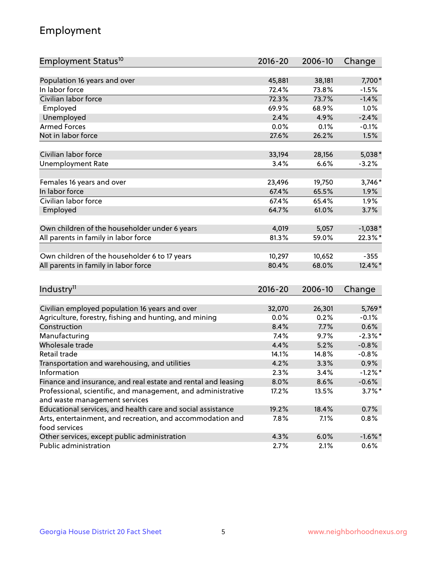## Employment

| Employment Status <sup>10</sup>                                                               | $2016 - 20$ | 2006-10 | Change     |
|-----------------------------------------------------------------------------------------------|-------------|---------|------------|
|                                                                                               |             |         |            |
| Population 16 years and over                                                                  | 45,881      | 38,181  | 7,700*     |
| In labor force                                                                                | 72.4%       | 73.8%   | $-1.5%$    |
| Civilian labor force                                                                          | 72.3%       | 73.7%   | $-1.4%$    |
| Employed                                                                                      | 69.9%       | 68.9%   | 1.0%       |
| Unemployed                                                                                    | 2.4%        | 4.9%    | $-2.4%$    |
| <b>Armed Forces</b>                                                                           | 0.0%        | 0.1%    | $-0.1%$    |
| Not in labor force                                                                            | 27.6%       | 26.2%   | 1.5%       |
|                                                                                               |             |         |            |
| Civilian labor force                                                                          | 33,194      | 28,156  | $5,038*$   |
| <b>Unemployment Rate</b>                                                                      | 3.4%        | 6.6%    | $-3.2%$    |
| Females 16 years and over                                                                     | 23,496      | 19,750  | 3,746*     |
| In labor force                                                                                | 67.4%       | 65.5%   | 1.9%       |
| Civilian labor force                                                                          | 67.4%       | 65.4%   | $1.9\%$    |
| Employed                                                                                      | 64.7%       | 61.0%   | 3.7%       |
|                                                                                               |             |         |            |
| Own children of the householder under 6 years                                                 | 4,019       | 5,057   | $-1,038*$  |
| All parents in family in labor force                                                          | 81.3%       | 59.0%   | 22.3%*     |
|                                                                                               |             |         |            |
| Own children of the householder 6 to 17 years                                                 | 10,297      | 10,652  | $-355$     |
| All parents in family in labor force                                                          | 80.4%       | 68.0%   | 12.4%*     |
|                                                                                               |             |         |            |
| Industry <sup>11</sup>                                                                        | 2016-20     | 2006-10 | Change     |
|                                                                                               |             |         |            |
| Civilian employed population 16 years and over                                                | 32,070      | 26,301  | 5,769*     |
| Agriculture, forestry, fishing and hunting, and mining                                        | 0.0%        | 0.2%    | $-0.1%$    |
| Construction                                                                                  | 8.4%        | 7.7%    | 0.6%       |
| Manufacturing                                                                                 | 7.4%        | 9.7%    | $-2.3\%$ * |
| Wholesale trade                                                                               | 4.4%        | 5.2%    | $-0.8%$    |
| Retail trade                                                                                  | 14.1%       | 14.8%   | $-0.8%$    |
| Transportation and warehousing, and utilities                                                 | 4.2%        | 3.3%    | 0.9%       |
| Information                                                                                   | 2.3%        | 3.4%    | $-1.2%$ *  |
| Finance and insurance, and real estate and rental and leasing                                 | 8.0%        | 8.6%    | $-0.6%$    |
| Professional, scientific, and management, and administrative<br>and waste management services | 17.2%       | 13.5%   | $3.7\%$ *  |
| Educational services, and health care and social assistance                                   | 19.2%       | 18.4%   | 0.7%       |
|                                                                                               |             |         |            |
| Arts, entertainment, and recreation, and accommodation and<br>food services                   | 7.8%        | 7.1%    | $0.8\%$    |
| Other services, except public administration                                                  | 4.3%        | 6.0%    | $-1.6\%$ * |
| Public administration                                                                         | 2.7%        | 2.1%    | 0.6%       |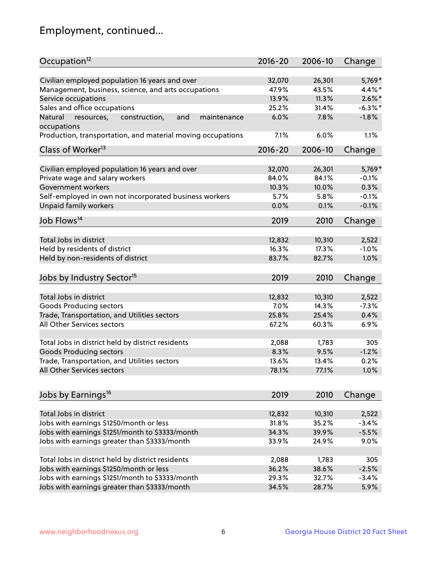## Employment, continued...

| Occupation <sup>12</sup>                                    | $2016 - 20$ | 2006-10 | Change     |
|-------------------------------------------------------------|-------------|---------|------------|
| Civilian employed population 16 years and over              | 32,070      | 26,301  | 5,769*     |
| Management, business, science, and arts occupations         | 47.9%       | 43.5%   | $4.4\%$ *  |
| Service occupations                                         | 13.9%       | 11.3%   | $2.6\%$ *  |
| Sales and office occupations                                | 25.2%       | 31.4%   | $-6.3\%$ * |
| and<br>Natural<br>maintenance                               | 6.0%        | 7.8%    | $-1.8%$    |
| resources,<br>construction,<br>occupations                  |             |         |            |
| Production, transportation, and material moving occupations | 7.1%        | 6.0%    | 1.1%       |
| Class of Worker <sup>13</sup>                               | $2016 - 20$ | 2006-10 | Change     |
|                                                             | 32,070      | 26,301  | 5,769*     |
| Civilian employed population 16 years and over              | 84.0%       | 84.1%   | $-0.1%$    |
| Private wage and salary workers                             |             |         |            |
| Government workers                                          | 10.3%       | 10.0%   | 0.3%       |
| Self-employed in own not incorporated business workers      | 5.7%        | 5.8%    | $-0.1%$    |
| Unpaid family workers                                       | 0.0%        | 0.1%    | $-0.1%$    |
| Job Flows <sup>14</sup>                                     | 2019        | 2010    | Change     |
|                                                             |             |         |            |
| Total Jobs in district                                      | 12,832      | 10,310  | 2,522      |
| Held by residents of district                               | 16.3%       | 17.3%   | $-1.0%$    |
| Held by non-residents of district                           | 83.7%       | 82.7%   | 1.0%       |
| Jobs by Industry Sector <sup>15</sup>                       | 2019        | 2010    | Change     |
| Total Jobs in district                                      | 12,832      | 10,310  |            |
|                                                             |             |         | 2,522      |
| Goods Producing sectors                                     | 7.0%        | 14.3%   | $-7.3%$    |
| Trade, Transportation, and Utilities sectors                | 25.8%       | 25.4%   | 0.4%       |
| All Other Services sectors                                  | 67.2%       | 60.3%   | 6.9%       |
| Total Jobs in district held by district residents           | 2,088       | 1,783   | 305        |
| <b>Goods Producing sectors</b>                              | 8.3%        | 9.5%    | $-1.2%$    |
| Trade, Transportation, and Utilities sectors                | 13.6%       | 13.4%   | 0.2%       |
| All Other Services sectors                                  | 78.1%       | 77.1%   | 1.0%       |
|                                                             |             |         |            |
| Jobs by Earnings <sup>16</sup>                              | 2019        | 2010    | Change     |
|                                                             |             |         |            |
| Total Jobs in district                                      | 12,832      | 10,310  | 2,522      |
| Jobs with earnings \$1250/month or less                     | 31.8%       | 35.2%   | $-3.4%$    |
| Jobs with earnings \$1251/month to \$3333/month             | 34.3%       | 39.9%   | $-5.5%$    |
| Jobs with earnings greater than \$3333/month                | 33.9%       | 24.9%   | 9.0%       |
| Total Jobs in district held by district residents           | 2,088       | 1,783   | 305        |
| Jobs with earnings \$1250/month or less                     | 36.2%       | 38.6%   | $-2.5%$    |
| Jobs with earnings \$1251/month to \$3333/month             | 29.3%       | 32.7%   | $-3.4%$    |
| Jobs with earnings greater than \$3333/month                | 34.5%       | 28.7%   | 5.9%       |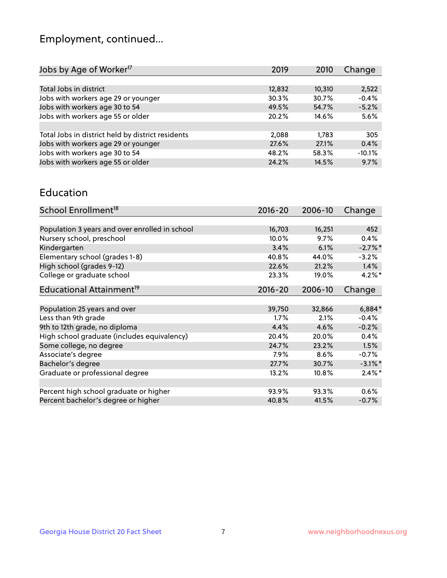## Employment, continued...

| 2019   | 2010   | Change   |
|--------|--------|----------|
|        |        |          |
| 12,832 | 10,310 | 2,522    |
| 30.3%  | 30.7%  | $-0.4%$  |
| 49.5%  | 54.7%  | $-5.2%$  |
| 20.2%  | 14.6%  | 5.6%     |
|        |        |          |
| 2,088  | 1.783  | 305      |
| 27.6%  | 27.1%  | 0.4%     |
| 48.2%  | 58.3%  | $-10.1%$ |
| 24.2%  | 14.5%  | 9.7%     |
|        |        |          |

#### Education

| School Enrollment <sup>18</sup>                | $2016 - 20$ | 2006-10  | Change     |
|------------------------------------------------|-------------|----------|------------|
|                                                |             |          |            |
| Population 3 years and over enrolled in school | 16,703      | 16,251   | 452        |
| Nursery school, preschool                      | 10.0%       | 9.7%     | 0.4%       |
| Kindergarten                                   | 3.4%        | 6.1%     | $-2.7\%$ * |
| Elementary school (grades 1-8)                 | 40.8%       | 44.0%    | $-3.2%$    |
| High school (grades 9-12)                      | 22.6%       | 21.2%    | 1.4%       |
| College or graduate school                     | 23.3%       | 19.0%    | $4.2\%$ *  |
| Educational Attainment <sup>19</sup>           | $2016 - 20$ | 2006-10  | Change     |
|                                                |             |          |            |
| Population 25 years and over                   | 39,750      | 32,866   | $6,884*$   |
| Less than 9th grade                            | 1.7%        | 2.1%     | $-0.4%$    |
| 9th to 12th grade, no diploma                  | 4.4%        | 4.6%     | $-0.2%$    |
| High school graduate (includes equivalency)    | 20.4%       | 20.0%    | 0.4%       |
| Some college, no degree                        | 24.7%       | 23.2%    | 1.5%       |
| Associate's degree                             | 7.9%        | 8.6%     | $-0.7%$    |
| Bachelor's degree                              | 27.7%       | 30.7%    | $-3.1\%$ * |
| Graduate or professional degree                | 13.2%       | $10.8\%$ | $2.4\%$ *  |
|                                                |             |          |            |
| Percent high school graduate or higher         | 93.9%       | 93.3%    | 0.6%       |
| Percent bachelor's degree or higher            | 40.8%       | 41.5%    | $-0.7%$    |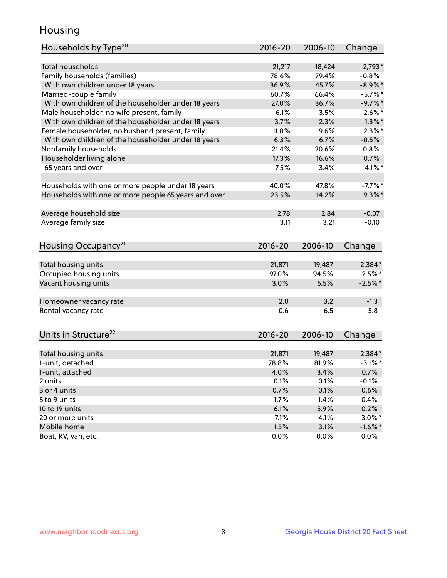## Housing

| Households by Type <sup>20</sup>                     | $2016 - 20$ | 2006-10 | Change     |
|------------------------------------------------------|-------------|---------|------------|
|                                                      |             |         |            |
| <b>Total households</b>                              | 21,217      | 18,424  | $2,793*$   |
| Family households (families)                         | 78.6%       | 79.4%   | $-0.8%$    |
| With own children under 18 years                     | 36.9%       | 45.7%   | $-8.9\%$ * |
| Married-couple family                                | 60.7%       | 66.4%   | $-5.7\%$ * |
| With own children of the householder under 18 years  | 27.0%       | 36.7%   | $-9.7%$ *  |
| Male householder, no wife present, family            | 6.1%        | 3.5%    | $2.6\%$ *  |
| With own children of the householder under 18 years  | 3.7%        | 2.3%    | $1.3\%$ *  |
| Female householder, no husband present, family       | 11.8%       | 9.6%    | $2.3\%$ *  |
| With own children of the householder under 18 years  | 6.3%        | 6.7%    | $-0.5%$    |
| Nonfamily households                                 | 21.4%       | 20.6%   | 0.8%       |
| Householder living alone                             | 17.3%       | 16.6%   | 0.7%       |
| 65 years and over                                    | 7.5%        | 3.4%    | 4.1%*      |
|                                                      |             |         |            |
| Households with one or more people under 18 years    | 40.0%       | 47.8%   | $-7.7%$ *  |
| Households with one or more people 65 years and over | 23.5%       | 14.2%   | $9.3\%$ *  |
|                                                      |             |         |            |
| Average household size                               | 2.78        | 2.84    | $-0.07$    |
| Average family size                                  | 3.11        | 3.21    | $-0.10$    |
|                                                      |             |         |            |
| Housing Occupancy <sup>21</sup>                      | $2016 - 20$ | 2006-10 | Change     |
|                                                      |             |         |            |
| Total housing units                                  | 21,871      | 19,487  | 2,384*     |
| Occupied housing units                               | 97.0%       | 94.5%   | $2.5\%$ *  |
| Vacant housing units                                 | 3.0%        | 5.5%    | $-2.5%$ *  |
|                                                      |             |         |            |
| Homeowner vacancy rate                               | 2.0         | 3.2     | $-1.3$     |
| Rental vacancy rate                                  | 0.6         | 6.5     | $-5.8$     |
|                                                      |             |         |            |
|                                                      |             |         |            |
| Units in Structure <sup>22</sup>                     | $2016 - 20$ | 2006-10 | Change     |
| Total housing units                                  | 21,871      | 19,487  | 2,384*     |
| 1-unit, detached                                     | 78.8%       | 81.9%   | $-3.1\%$ * |
| 1-unit, attached                                     | 4.0%        | 3.4%    | 0.7%       |
| 2 units                                              | 0.1%        | 0.1%    | $-0.1%$    |
| 3 or 4 units                                         | 0.7%        | 0.1%    | 0.6%       |
| 5 to 9 units                                         | 1.7%        | 1.4%    | 0.4%       |
|                                                      |             |         |            |
| 10 to 19 units                                       | 6.1%        | 5.9%    | 0.2%       |
| 20 or more units<br>Mobile home                      | 7.1%        | 4.1%    | $3.0\%$ *  |
|                                                      | 1.5%        | 3.1%    | $-1.6\%$ * |
| Boat, RV, van, etc.                                  | 0.0%        | 0.0%    | 0.0%       |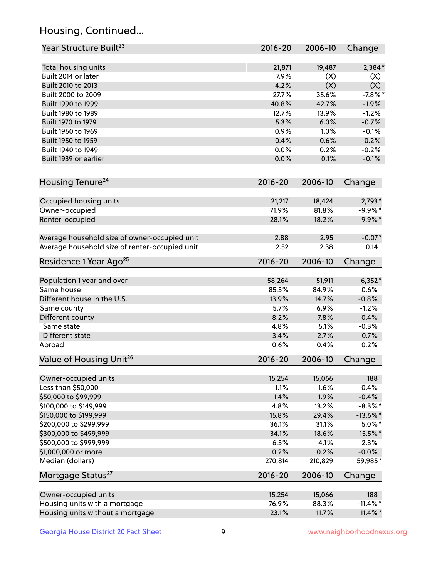## Housing, Continued...

| Year Structure Built <sup>23</sup>             | 2016-20     | 2006-10 | Change      |
|------------------------------------------------|-------------|---------|-------------|
| Total housing units                            | 21,871      | 19,487  | $2,384*$    |
| Built 2014 or later                            | 7.9%        | (X)     | (X)         |
| Built 2010 to 2013                             | 4.2%        | (X)     | (X)         |
| Built 2000 to 2009                             | 27.7%       | 35.6%   | $-7.8%$ *   |
| Built 1990 to 1999                             | 40.8%       | 42.7%   | $-1.9%$     |
| Built 1980 to 1989                             | 12.7%       | 13.9%   | $-1.2%$     |
| Built 1970 to 1979                             | 5.3%        | 6.0%    | $-0.7%$     |
| Built 1960 to 1969                             | 0.9%        | 1.0%    | $-0.1%$     |
| Built 1950 to 1959                             | 0.4%        | 0.6%    | $-0.2%$     |
| Built 1940 to 1949                             | 0.0%        | 0.2%    | $-0.2%$     |
| Built 1939 or earlier                          | 0.0%        | 0.1%    | $-0.1%$     |
| Housing Tenure <sup>24</sup>                   | $2016 - 20$ | 2006-10 | Change      |
| Occupied housing units                         | 21,217      | 18,424  | $2,793*$    |
| Owner-occupied                                 | 71.9%       | 81.8%   | $-9.9%$ *   |
| Renter-occupied                                | 28.1%       | 18.2%   | $9.9\% *$   |
| Average household size of owner-occupied unit  | 2.88        | 2.95    | $-0.07*$    |
| Average household size of renter-occupied unit | 2.52        | 2.38    | 0.14        |
| Residence 1 Year Ago <sup>25</sup>             | 2016-20     | 2006-10 | Change      |
| Population 1 year and over                     | 58,264      | 51,911  | $6,352*$    |
| Same house                                     | 85.5%       | 84.9%   | 0.6%        |
| Different house in the U.S.                    | 13.9%       | 14.7%   | $-0.8%$     |
| Same county                                    | 5.7%        | 6.9%    | $-1.2%$     |
| Different county                               | 8.2%        | 7.8%    | 0.4%        |
| Same state                                     | 4.8%        | 5.1%    | $-0.3%$     |
| Different state                                | 3.4%        | 2.7%    | 0.7%        |
| Abroad                                         | 0.6%        | 0.4%    | 0.2%        |
| Value of Housing Unit <sup>26</sup>            | $2016 - 20$ | 2006-10 | Change      |
| Owner-occupied units                           | 15,254      | 15,066  | 188         |
| Less than \$50,000                             | 1.1%        | 1.6%    | $-0.4%$     |
| \$50,000 to \$99,999                           | 1.4%        | 1.9%    | $-0.4%$     |
| \$100,000 to \$149,999                         | 4.8%        | 13.2%   | $-8.3\%$ *  |
| \$150,000 to \$199,999                         | 15.8%       | 29.4%   | $-13.6\%$ * |
| \$200,000 to \$299,999                         | 36.1%       | 31.1%   | $5.0\%$ *   |
| \$300,000 to \$499,999                         | 34.1%       | 18.6%   | 15.5%*      |
| \$500,000 to \$999,999                         | 6.5%        | 4.1%    | 2.3%        |
| \$1,000,000 or more                            | 0.2%        | 0.2%    | $-0.0%$     |
| Median (dollars)                               | 270,814     | 210,829 | 59,985*     |
| Mortgage Status <sup>27</sup>                  | $2016 - 20$ | 2006-10 | Change      |
| Owner-occupied units                           | 15,254      | 15,066  | 188         |
| Housing units with a mortgage                  | 76.9%       | 88.3%   | $-11.4\%$ * |
| Housing units without a mortgage               | 23.1%       | 11.7%   | $11.4\%$ *  |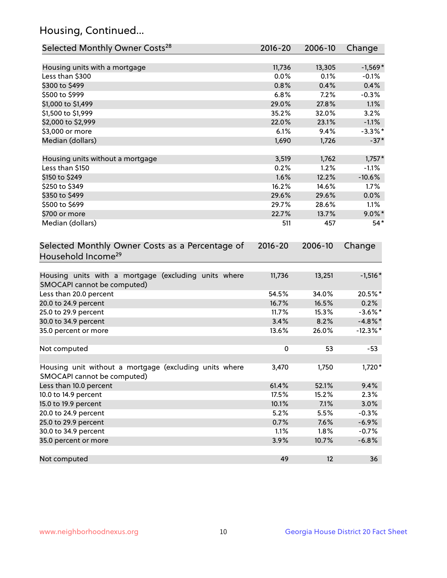## Housing, Continued...

| Selected Monthly Owner Costs <sup>28</sup>                                            | $2016 - 20$ | 2006-10 | Change     |
|---------------------------------------------------------------------------------------|-------------|---------|------------|
| Housing units with a mortgage                                                         | 11,736      | 13,305  | $-1,569*$  |
| Less than \$300                                                                       | 0.0%        | 0.1%    | $-0.1%$    |
| \$300 to \$499                                                                        | 0.8%        | 0.4%    | 0.4%       |
| \$500 to \$999                                                                        | 6.8%        | 7.2%    | $-0.3%$    |
| \$1,000 to \$1,499                                                                    | 29.0%       | 27.8%   | 1.1%       |
| \$1,500 to \$1,999                                                                    | 35.2%       | 32.0%   | 3.2%       |
| \$2,000 to \$2,999                                                                    | 22.0%       | 23.1%   | $-1.1%$    |
| \$3,000 or more                                                                       | 6.1%        | 9.4%    | $-3.3%$ *  |
| Median (dollars)                                                                      | 1,690       | 1,726   | $-37*$     |
| Housing units without a mortgage                                                      | 3,519       | 1,762   | $1,757*$   |
| Less than \$150                                                                       | 0.2%        | 1.2%    | $-1.1%$    |
| \$150 to \$249                                                                        | 1.6%        | 12.2%   | $-10.6%$   |
| \$250 to \$349                                                                        | 16.2%       | 14.6%   | 1.7%       |
| \$350 to \$499                                                                        | 29.6%       | 29.6%   | 0.0%       |
| \$500 to \$699                                                                        | 29.7%       | 28.6%   | 1.1%       |
| \$700 or more                                                                         | 22.7%       | 13.7%   | $9.0\%$ *  |
| Median (dollars)                                                                      | 511         | 457     | $54*$      |
| Selected Monthly Owner Costs as a Percentage of<br>Household Income <sup>29</sup>     | $2016 - 20$ | 2006-10 | Change     |
| Housing units with a mortgage (excluding units where<br>SMOCAPI cannot be computed)   | 11,736      | 13,251  | $-1,516*$  |
| Less than 20.0 percent                                                                | 54.5%       | 34.0%   | 20.5%*     |
| 20.0 to 24.9 percent                                                                  | 16.7%       | 16.5%   | 0.2%       |
| 25.0 to 29.9 percent                                                                  | 11.7%       | 15.3%   | $-3.6\%$ * |
| 30.0 to 34.9 percent                                                                  | 3.4%        | 8.2%    | $-4.8\%$ * |
| 35.0 percent or more                                                                  | 13.6%       | 26.0%   | $-12.3%$ * |
| Not computed                                                                          | $\pmb{0}$   | 53      | $-53$      |
| Housing unit without a mortgage (excluding units where<br>SMOCAPI cannot be computed) | 3,470       | 1,750   | 1,720*     |
| Less than 10.0 percent                                                                | 61.4%       | 52.1%   | 9.4%       |
| 10.0 to 14.9 percent                                                                  | 17.5%       | 15.2%   | 2.3%       |
| 15.0 to 19.9 percent                                                                  | 10.1%       | 7.1%    | 3.0%       |
| 20.0 to 24.9 percent                                                                  | 5.2%        | 5.5%    | $-0.3%$    |
| 25.0 to 29.9 percent                                                                  | 0.7%        | 7.6%    | $-6.9%$    |
| 30.0 to 34.9 percent                                                                  | 1.1%        | 1.8%    | $-0.7%$    |
| 35.0 percent or more                                                                  | 3.9%        | 10.7%   | $-6.8%$    |
| Not computed                                                                          | 49          | 12      | 36         |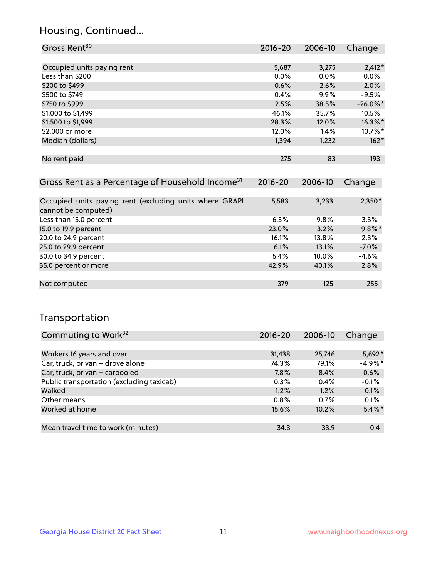## Housing, Continued...

| Gross Rent <sup>30</sup>                                                       | 2016-20 | 2006-10 | Change      |
|--------------------------------------------------------------------------------|---------|---------|-------------|
|                                                                                |         |         |             |
| Occupied units paying rent                                                     | 5,687   | 3,275   | $2,412*$    |
| Less than \$200                                                                | $0.0\%$ | $0.0\%$ | $0.0\%$     |
| \$200 to \$499                                                                 | 0.6%    | 2.6%    | $-2.0\%$    |
| \$500 to \$749                                                                 | 0.4%    | $9.9\%$ | $-9.5%$     |
| \$750 to \$999                                                                 | 12.5%   | 38.5%   | $-26.0\%$ * |
| \$1,000 to \$1,499                                                             | 46.1%   | 35.7%   | 10.5%       |
| \$1,500 to \$1,999                                                             | 28.3%   | 12.0%   | $16.3\%$ *  |
| \$2,000 or more                                                                | 12.0%   | 1.4%    | $10.7\%$ *  |
| Median (dollars)                                                               | 1,394   | 1,232   | $162*$      |
| No rent paid                                                                   | 275     | 83      | 193         |
| Gross Rent as a Percentage of Household Income <sup>31</sup>                   | 2016-20 | 2006-10 | Change      |
|                                                                                |         |         |             |
| Occupied units paying rent (excluding units where GRAPI<br>cannot be computed) | 5,583   | 3,233   | $2,350*$    |
| Less than 15.0 percent                                                         | 6.5%    | 9.8%    | $-3.3%$     |
| 15.0 to 19.9 percent                                                           | 23.0%   | 13.2%   | $9.8\%$ *   |
| 20.0 to 24.9 percent                                                           | 16.1%   | 13.8%   | 2.3%        |
| 25.0 to 29.9 percent                                                           | 6.1%    | 13.1%   | $-7.0\%$    |

| <b>LUID LATION NEILEIIL</b> | 0.170 | 19.170   | $-7.070$ |
|-----------------------------|-------|----------|----------|
| 30.0 to 34.9 percent        | 5.4%  | $10.0\%$ | $-4.6\%$ |
| 35.0 percent or more        | 42.9% | 40.1%    | 2.8%     |
|                             |       |          |          |
| Not computed                | 379   | 125      | 255      |
|                             |       |          |          |

## Transportation

| Commuting to Work <sup>32</sup>           | 2016-20 | 2006-10 | Change    |
|-------------------------------------------|---------|---------|-----------|
|                                           |         |         |           |
| Workers 16 years and over                 | 31,438  | 25,746  | $5,692*$  |
| Car, truck, or van - drove alone          | 74.3%   | 79.1%   | $-4.9%$ * |
| Car, truck, or van - carpooled            | 7.8%    | 8.4%    | $-0.6%$   |
| Public transportation (excluding taxicab) | 0.3%    | 0.4%    | $-0.1%$   |
| Walked                                    | 1.2%    | 1.2%    | 0.1%      |
| Other means                               | 0.8%    | 0.7%    | 0.1%      |
| Worked at home                            | 15.6%   | 10.2%   | $5.4\%$ * |
|                                           |         |         |           |
| Mean travel time to work (minutes)        | 34.3    | 33.9    | 0.4       |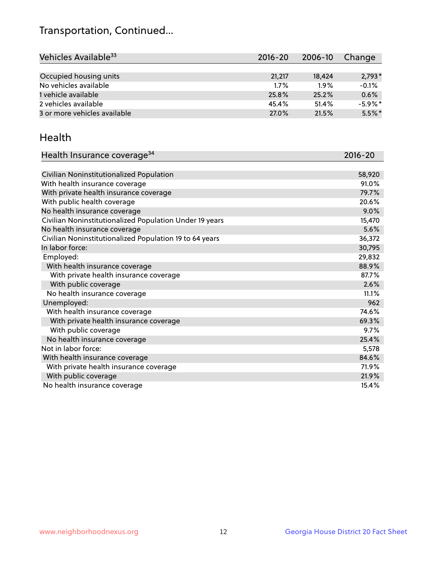## Transportation, Continued...

| Vehicles Available <sup>33</sup> | $2016 - 20$ | 2006-10 | Change     |
|----------------------------------|-------------|---------|------------|
|                                  |             |         |            |
| Occupied housing units           | 21,217      | 18,424  | $2,793*$   |
| No vehicles available            | $1.7\%$     | 1.9%    | $-0.1%$    |
| 1 vehicle available              | 25.8%       | 25.2%   | 0.6%       |
| 2 vehicles available             | 45.4%       | 51.4%   | $-5.9\%$ * |
| 3 or more vehicles available     | 27.0%       | 21.5%   | $5.5\%$ *  |

#### Health

| Health Insurance coverage <sup>34</sup>                 | 2016-20 |
|---------------------------------------------------------|---------|
|                                                         |         |
| Civilian Noninstitutionalized Population                | 58,920  |
| With health insurance coverage                          | 91.0%   |
| With private health insurance coverage                  | 79.7%   |
| With public health coverage                             | 20.6%   |
| No health insurance coverage                            | 9.0%    |
| Civilian Noninstitutionalized Population Under 19 years | 15,470  |
| No health insurance coverage                            | 5.6%    |
| Civilian Noninstitutionalized Population 19 to 64 years | 36,372  |
| In labor force:                                         | 30,795  |
| Employed:                                               | 29,832  |
| With health insurance coverage                          | 88.9%   |
| With private health insurance coverage                  | 87.7%   |
| With public coverage                                    | 2.6%    |
| No health insurance coverage                            | 11.1%   |
| Unemployed:                                             | 962     |
| With health insurance coverage                          | 74.6%   |
| With private health insurance coverage                  | 69.3%   |
| With public coverage                                    | 9.7%    |
| No health insurance coverage                            | 25.4%   |
| Not in labor force:                                     | 5,578   |
| With health insurance coverage                          | 84.6%   |
| With private health insurance coverage                  | 71.9%   |
| With public coverage                                    | 21.9%   |
| No health insurance coverage                            | 15.4%   |